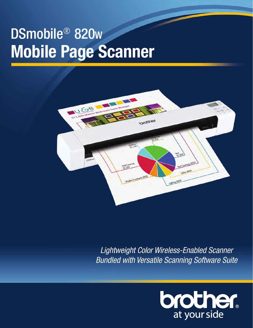# DSmobile® 820<sup>w</sup> **Mobile Page Scanner**



*Lightweight Color Wireless-Enabled Scanner Bundled with Versatile Scanning Software Suite*